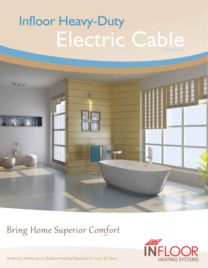# Infloor Heavy-Duty Electric Cable (120/240 VAC)



## Bring Home Superior Comfort



America's Authority on Radiant Heating Solutions for over 30 Years.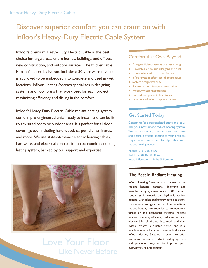### Discover superior comfort you can count on with Infloor's Heavy-Duty Electric Cable System

Infloor's premium Heavy-Duty Electric Cable is the best choice for large areas, entire homes, buildings, and offices, new construction, and outdoor surfaces. The thicker cable is manufactured by Nexan, includes a 30-year warranty, and is approved to be embedded into concrete and used in wet locations. Infloor Heating Systems specializes in designing systems and floor plans that work best for each project, maximizing efficiency and dialing in the comfort.

Infloor's Heavy-Duty Electric Cable radiant heating system come in pre-engineered units, ready to install, and can be fit to any sized room or outdoor area. It's perfect for all floor coverings too, including hard wood, carpet, tile, laminates, and more. We use state-of-the-art electric heating cables, hardware, and electrical controls for an economical and long lasting system, backed by our support and expertise.



### Love Your Floor Like Never Before

#### Comfort that Goes Beyond

- Energy-efficient systems use less energy
- Eliminates air bourne allergens and dust
- Home safety with no open flames
- Infloor system offers use of entire space
- System design flexibility
- Room-to-room temperature control
- Programmable thermostats
- Cable & components built to last
- Experienced Infloor representatives

#### Get Started Today

Contact us for a personalized quote and let us plan your new Infloor radiant heating system. We can answer any questions you may have and design a system specific to your project's requirements. We're here to help with all your radiant heating needs.

Phone: (719) 395-3400 Toll Free: (800) 608-0562 www.infloor.com info@infloor.com

#### The Best in Radiant Heating

Infloor Heating Systems is a pioneer in the radiant heating industry, designing and manufacturing systems since 1984. Infloor specializes in electric and hydronic radiant heating, with additional energy-saving solutions such as solar and geo thermal. The benefits of radiant heating are superior to conventional forced-air and baseboard systems. Radiant heating is energy-efficient, reducing gas and electric bills, eliminates duct work and duct losses, creates a quieter home, and is a healthier way of living for those with allergies. Infloor Heating Systems is proud to offer premium, innovative radiant heating systems and products designed to improve your everyday living and comfort.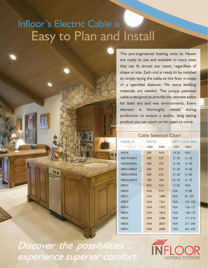# Infloor's Electric Cable is Easy to Plan and Install

The pre-engineered heating units by Nexan are ready to use and available in many sizes that can fit almost any room, regardless of shape or size. Each unit is ready to be installed by simply laying the cable on the floor in loops of a specified distance. No extra building materials are needed. The unique patented cable is designed to provide the ultimate safety for both dry and wet environments. Every element is thoroughly tested during production to ensure a quality, long lasting product you can count on for years to come.

### Cable Selection Chart

| MODEL #     | <b>WATTS</b> |      |           | <b>NET FLOOR AREA</b> |  |
|-------------|--------------|------|-----------|-----------------------|--|
|             | 120V         | 240V | 120V      | 240V                  |  |
| 40018       | 200          | N/A  | $14 - 20$ | N/A                   |  |
| 40019/40025 | 300          | 327  | $21 - 30$ | $21 - 30$             |  |
| 40020/40026 | 400          | 435  | $31 - 40$ | $31 - 40$             |  |
| 40021/40027 | 500          | 543  | $41 - 50$ | $41 - 50$             |  |
| 40022/40028 | 600          | 652  | $51 - 60$ | $51 - 60$             |  |
| 40023/40029 | 700          | 760  | $61 - 70$ | $61 - 70$             |  |
| 40024       | 850          | N/A  | 71-85     | N/A                   |  |
| 40030       | N/A          | 914  | N/A       | $71 - 85$             |  |
| 40031       | N/A          | 1088 | N/A       | $81 - 100$            |  |
| 40032       | N/A          | 1361 | N/A       | $101 - 125$           |  |
| 40033       | N/A          | 1492 | N/A       | $126 - 137$           |  |
| 40034       | N/A          | 1852 | N/A       | $138 - 170$           |  |
| 40035       | N/A          | 2286 | N/A       | $171 - 210$           |  |
| 40036       | N/A          | 2837 | N/A       | $211 - 260$           |  |
| 40037       | N/A          | 3600 | N/A       | $261 - 330$           |  |

Discover the possibilities. experience superior comfort.